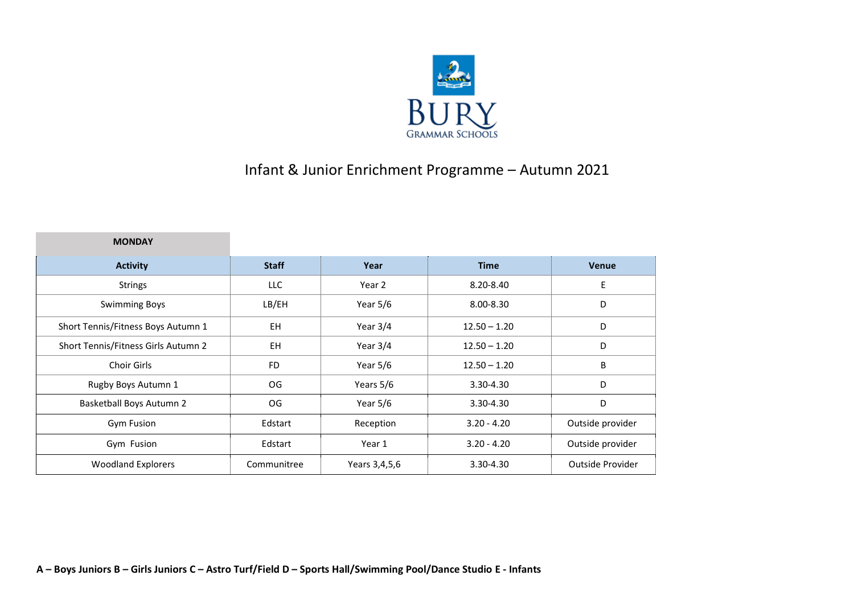

## Infant & Junior Enrichment Programme – Autumn 2021

**MONDAY** 

| <b>Activity</b>                     | <b>Staff</b> | Year          | Time           | Venue            |
|-------------------------------------|--------------|---------------|----------------|------------------|
| <b>Strings</b>                      | LLC          | Year 2        | 8.20-8.40      | E                |
| <b>Swimming Boys</b>                | LB/EH        | Year $5/6$    | $8.00 - 8.30$  | D                |
| Short Tennis/Fitness Boys Autumn 1  | EH           | Year $3/4$    | $12.50 - 1.20$ | D                |
| Short Tennis/Fitness Girls Autumn 2 | <b>EH</b>    | Year 3/4      | $12.50 - 1.20$ | D                |
| Choir Girls                         | <b>FD</b>    | Year 5/6      | $12.50 - 1.20$ | B                |
| Rugby Boys Autumn 1                 | OG.          | Years 5/6     | 3.30-4.30      | D                |
| <b>Basketball Boys Autumn 2</b>     | OG.          | Year 5/6      | 3.30-4.30      | D                |
| <b>Gym Fusion</b>                   | Edstart      | Reception     | $3.20 - 4.20$  | Outside provider |
| Gym Fusion                          | Edstart      | Year 1        | $3.20 - 4.20$  | Outside provider |
| <b>Woodland Explorers</b>           | Communitree  | Years 3,4,5,6 | 3.30-4.30      | Outside Provider |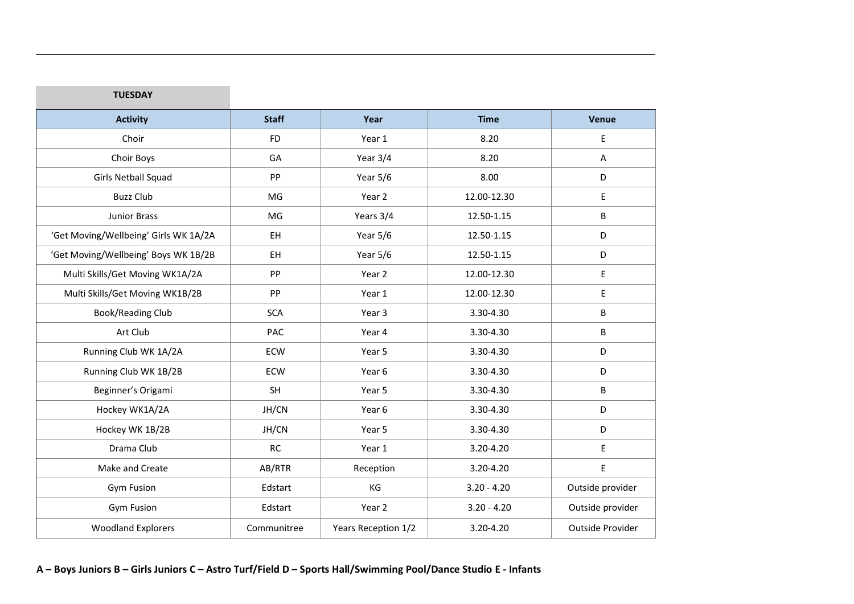| <b>Activity</b>                       | <b>Staff</b> | Year                | <b>Time</b>   | Venue            |
|---------------------------------------|--------------|---------------------|---------------|------------------|
| Choir                                 | <b>FD</b>    | Year 1              | 8.20          | E                |
| Choir Boys                            | GA           | Year 3/4            | 8.20          | $\overline{A}$   |
| Girls Netball Squad                   | PP           | Year 5/6            | 8.00          | D                |
| <b>Buzz Club</b>                      | MG           | Year 2              | 12.00-12.30   | E                |
| Junior Brass                          | MG           | Years 3/4           | 12.50-1.15    | B                |
| 'Get Moving/Wellbeing' Girls WK 1A/2A | EH.          | Year 5/6            | 12.50-1.15    | D                |
| 'Get Moving/Wellbeing' Boys WK 1B/2B  | EH.          | Year 5/6            | 12.50-1.15    | D                |
| Multi Skills/Get Moving WK1A/2A       | PP           | Year 2              | 12.00-12.30   | E                |
| Multi Skills/Get Moving WK1B/2B       | PP           | Year 1              | 12.00-12.30   | E                |
| Book/Reading Club                     | <b>SCA</b>   | Year 3              | 3.30-4.30     | B                |
| Art Club                              | PAC          | Year 4              | 3.30-4.30     | B                |
| Running Club WK 1A/2A                 | ECW          | Year 5              | 3.30-4.30     | D                |
| Running Club WK 1B/2B                 | ECW          | Year 6              | 3.30-4.30     | D                |
| Beginner's Origami                    | SH           | Year 5              | 3.30-4.30     | B                |
| Hockey WK1A/2A                        | JH/CN        | Year 6              | 3.30-4.30     | D                |
| Hockey WK 1B/2B                       | JH/CN        | Year 5              | 3.30-4.30     | D                |
| Drama Club                            | RC           | Year 1              | 3.20-4.20     | E                |
| Make and Create                       | AB/RTR       | Reception           | 3.20-4.20     | E                |
| Gym Fusion                            | Edstart      | KG                  | $3.20 - 4.20$ | Outside provider |
| <b>Gym Fusion</b>                     | Edstart      | Year 2              | $3.20 - 4.20$ | Outside provider |
| <b>Woodland Explorers</b>             | Communitree  | Years Reception 1/2 | 3.20-4.20     | Outside Provider |

**TUESDAY**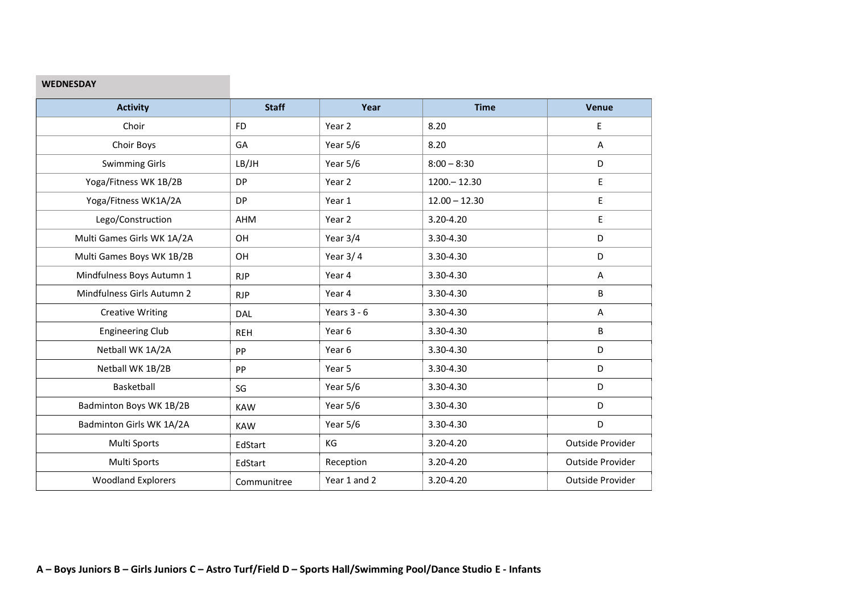## **WEDNESDAY**

| <b>Activity</b>            | <b>Staff</b> | Year          | <b>Time</b>     | Venue            |
|----------------------------|--------------|---------------|-----------------|------------------|
| Choir                      | <b>FD</b>    | Year 2        | 8.20            | Е                |
| Choir Boys                 | GA           | Year 5/6      | 8.20            | Α                |
| <b>Swimming Girls</b>      | LB/JH        | Year 5/6      | $8:00 - 8:30$   | D                |
| Yoga/Fitness WK 1B/2B      | <b>DP</b>    | Year 2        | $1200 - 12.30$  | E                |
| Yoga/Fitness WK1A/2A       | <b>DP</b>    | Year 1        | $12.00 - 12.30$ | E                |
| Lego/Construction          | AHM          | Year 2        | 3.20-4.20       | Ε                |
| Multi Games Girls WK 1A/2A | OH           | Year 3/4      | 3.30-4.30       | D                |
| Multi Games Boys WK 1B/2B  | OH           | Year $3/4$    | 3.30-4.30       | D                |
| Mindfulness Boys Autumn 1  | <b>RJP</b>   | Year 4        | 3.30-4.30       | A                |
| Mindfulness Girls Autumn 2 | <b>RJP</b>   | Year 4        | 3.30-4.30       | B                |
| <b>Creative Writing</b>    | DAL          | Years $3 - 6$ | 3.30-4.30       | A                |
| <b>Engineering Club</b>    | <b>REH</b>   | Year 6        | 3.30-4.30       | B                |
| Netball WK 1A/2A           | PP           | Year 6        | 3.30-4.30       | D                |
| Netball WK 1B/2B           | PP           | Year 5        | 3.30-4.30       | D                |
| Basketball                 | SG           | Year 5/6      | 3.30-4.30       | D                |
| Badminton Boys WK 1B/2B    | <b>KAW</b>   | Year 5/6      | 3.30-4.30       | D                |
| Badminton Girls WK 1A/2A   | <b>KAW</b>   | Year 5/6      | 3.30-4.30       | D                |
| Multi Sports               | EdStart      | KG            | 3.20-4.20       | Outside Provider |
| Multi Sports               | EdStart      | Reception     | 3.20-4.20       | Outside Provider |
| <b>Woodland Explorers</b>  | Communitree  | Year 1 and 2  | 3.20-4.20       | Outside Provider |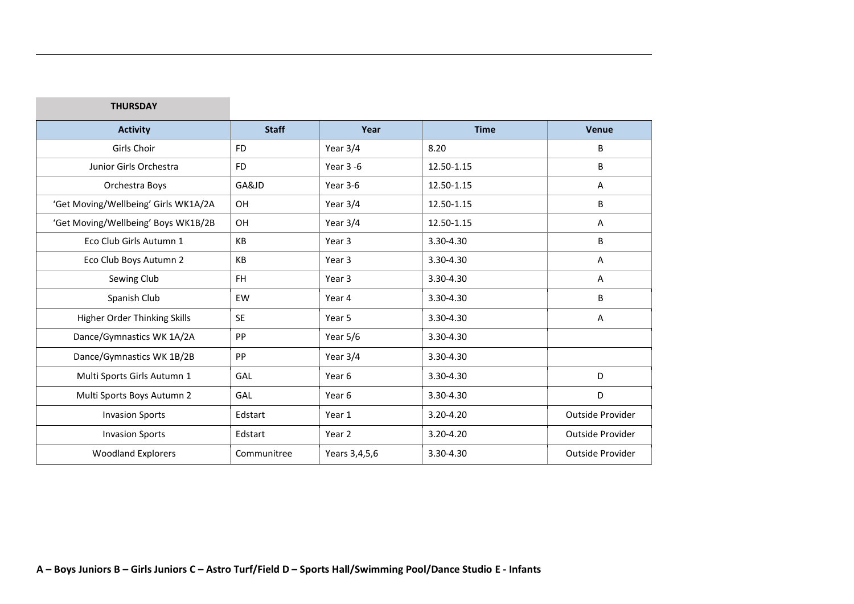| INURSUAI                             |              |                   |               |                  |
|--------------------------------------|--------------|-------------------|---------------|------------------|
| <b>Activity</b>                      | <b>Staff</b> | Year              | <b>Time</b>   | <b>Venue</b>     |
| Girls Choir                          | <b>FD</b>    | Year 3/4          | 8.20          | B                |
| Junior Girls Orchestra               | <b>FD</b>    | Year 3 -6         | 12.50-1.15    | B                |
| Orchestra Boys                       | GA&JD        | Year 3-6          | 12.50-1.15    | Α                |
| 'Get Moving/Wellbeing' Girls WK1A/2A | OH           | Year 3/4          | 12.50-1.15    | B                |
| 'Get Moving/Wellbeing' Boys WK1B/2B  | OH           | Year 3/4          | 12.50-1.15    | Α                |
| Eco Club Girls Autumn 1              | KB           | Year <sub>3</sub> | 3.30-4.30     | B                |
| Eco Club Boys Autumn 2               | KB           | Year 3            | 3.30-4.30     | Α                |
| Sewing Club                          | <b>FH</b>    | Year <sub>3</sub> | 3.30-4.30     | A                |
| Spanish Club                         | EW           | Year 4            | 3.30-4.30     | B                |
| Higher Order Thinking Skills         | <b>SE</b>    | Year 5            | 3.30-4.30     | Α                |
| Dance/Gymnastics WK 1A/2A            | PP           | Year $5/6$        | 3.30-4.30     |                  |
| Dance/Gymnastics WK 1B/2B            | PP           | Year 3/4          | 3.30-4.30     |                  |
| Multi Sports Girls Autumn 1          | GAL          | Year <sub>6</sub> | 3.30-4.30     | D                |
| Multi Sports Boys Autumn 2           | GAL          | Year <sub>6</sub> | 3.30-4.30     | D                |
| <b>Invasion Sports</b>               | Edstart      | Year 1            | $3.20 - 4.20$ | Outside Provider |
| <b>Invasion Sports</b>               | Edstart      | Year 2            | $3.20 - 4.20$ | Outside Provider |
| <b>Woodland Explorers</b>            | Communitree  | Years 3,4,5,6     | 3.30-4.30     | Outside Provider |